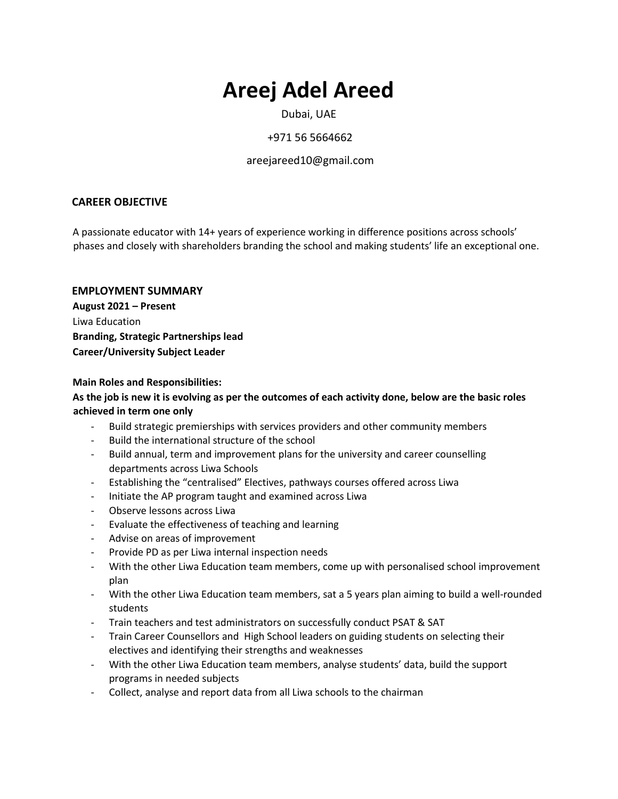# **Areej Adel Areed**

Dubai, UAE

# +971 56 5664662

# areejareed10@gmail.com

# **CAREER OBJECTIVE**

A passionate educator with 14+ years of experience working in difference positions across schools' phases and closely with shareholders branding the school and making students' life an exceptional one.

# **EMPLOYMENT SUMMARY**

**August 2021 – Present** Liwa Education **Branding, Strategic Partnerships lead Career/University Subject Leader**

# **Main Roles and Responsibilities:**

# **As the job is new it is evolving as per the outcomes of each activity done, below are the basic roles achieved in term one only**

- Build strategic premierships with services providers and other community members
- Build the international structure of the school
- Build annual, term and improvement plans for the university and career counselling departments across Liwa Schools
- Establishing the "centralised" Electives, pathways courses offered across Liwa
- Initiate the AP program taught and examined across Liwa
- Observe lessons across Liwa
- Evaluate the effectiveness of teaching and learning
- Advise on areas of improvement
- Provide PD as per Liwa internal inspection needs
- With the other Liwa Education team members, come up with personalised school improvement plan
- With the other Liwa Education team members, sat a 5 years plan aiming to build a well-rounded students
- Train teachers and test administrators on successfully conduct PSAT & SAT
- Train Career Counsellors and High School leaders on guiding students on selecting their electives and identifying their strengths and weaknesses
- With the other Liwa Education team members, analyse students' data, build the support programs in needed subjects
- Collect, analyse and report data from all Liwa schools to the chairman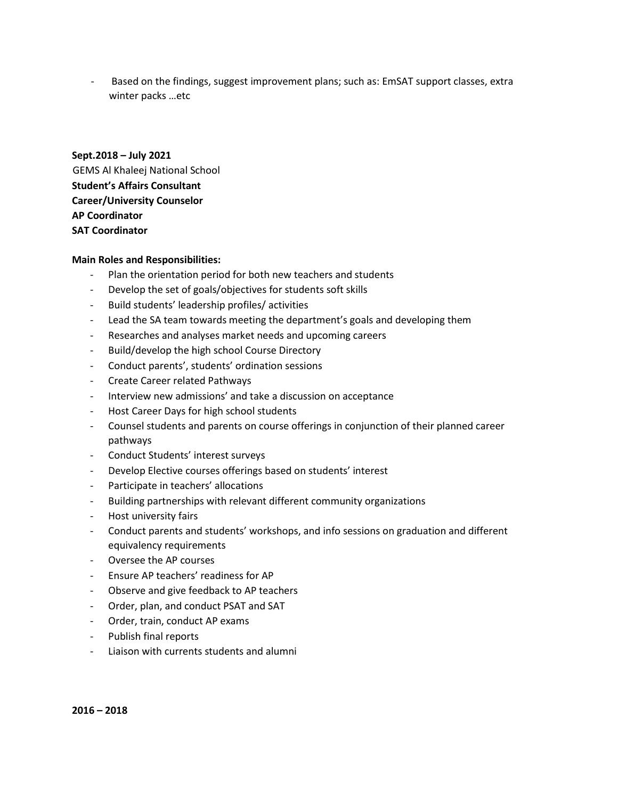Based on the findings, suggest improvement plans; such as: EmSAT support classes, extra winter packs …etc

# **Sept.2018 – July 2021** GEMS Al Khaleej National School **Student's Affairs Consultant Career/University Counselor AP Coordinator SAT Coordinator**

#### **Main Roles and Responsibilities:**

- Plan the orientation period for both new teachers and students
- Develop the set of goals/objectives for students soft skills
- Build students' leadership profiles/ activities
- Lead the SA team towards meeting the department's goals and developing them
- Researches and analyses market needs and upcoming careers
- Build/develop the high school Course Directory
- Conduct parents', students' ordination sessions
- Create Career related Pathways
- Interview new admissions' and take a discussion on acceptance
- Host Career Days for high school students
- Counsel students and parents on course offerings in conjunction of their planned career pathways
- Conduct Students' interest surveys
- Develop Elective courses offerings based on students' interest
- Participate in teachers' allocations
- Building partnerships with relevant different community organizations
- Host university fairs
- Conduct parents and students' workshops, and info sessions on graduation and different equivalency requirements
- Oversee the AP courses
- Ensure AP teachers' readiness for AP
- Observe and give feedback to AP teachers
- Order, plan, and conduct PSAT and SAT
- Order, train, conduct AP exams
- Publish final reports
- Liaison with currents students and alumni

**2016 – 2018**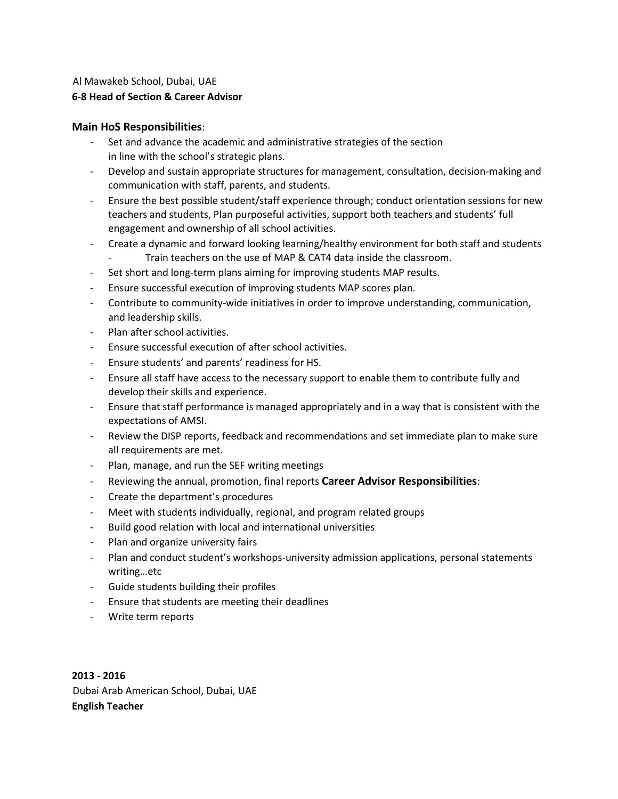#### Al Mawakeb School, Dubai, UAE **6-8 Head of Section & Career Advisor**

# **Main HoS Responsibilities**:

- Set and advance the academic and administrative strategies of the section in line with the school's strategic plans.
- Develop and sustain appropriate structures for management, consultation, decision-making and communication with staff, parents, and students.
- Ensure the best possible student/staff experience through; conduct orientation sessions for new teachers and students, Plan purposeful activities, support both teachers and students' full engagement and ownership of all school activities.
- Create a dynamic and forward looking learning/healthy environment for both staff and students
	- Train teachers on the use of MAP & CAT4 data inside the classroom.
- Set short and long-term plans aiming for improving students MAP results.
- Ensure successful execution of improving students MAP scores plan.
- Contribute to community-wide initiatives in order to improve understanding, communication, and leadership skills.
- Plan after school activities.
- Ensure successful execution of after school activities.
- Ensure students' and parents' readiness for HS.
- Ensure all staff have access to the necessary support to enable them to contribute fully and develop their skills and experience.
- Ensure that staff performance is managed appropriately and in a way that is consistent with the expectations of AMSI.
- Review the DISP reports, feedback and recommendations and set immediate plan to make sure all requirements are met.
- Plan, manage, and run the SEF writing meetings
- Reviewing the annual, promotion, final reports **Career Advisor Responsibilities**:
- Create the department's procedures
- Meet with students individually, regional, and program related groups
- Build good relation with local and international universities
- Plan and organize university fairs
- Plan and conduct student's workshops-university admission applications, personal statements writing…etc
- Guide students building their profiles
- Ensure that students are meeting their deadlines
- Write term reports

**2013 - 2016**  Dubai Arab American School, Dubai, UAE **English Teacher**